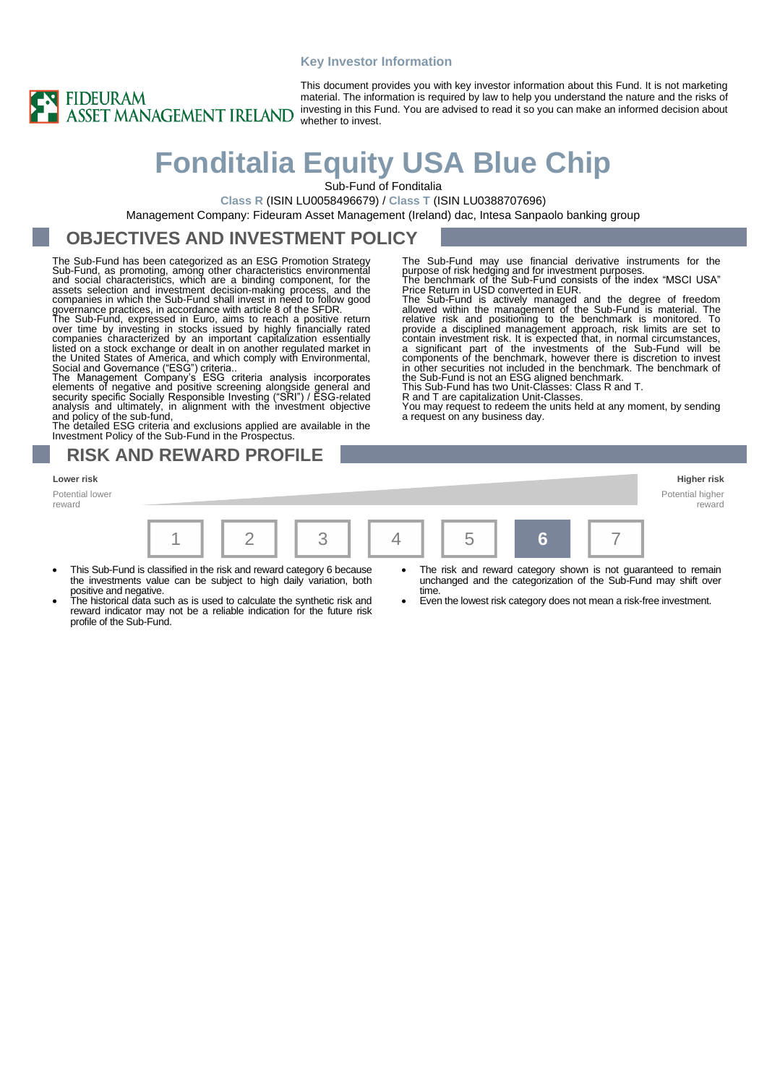### **Key Investor Information**



This document provides you with key investor information about this Fund. It is not marketing material. The information is required by law to help you understand the nature and the risks of investing in this Fund. You are advised to read it so you can make an informed decision about whether to invest.

# **Fonditalia Equity USA Blue Chip**

Sub-Fund of Fonditalia

**Class R** (ISIN LU0058496679) / **Class T** (ISIN LU0388707696)

Management Company: Fideuram Asset Management (Ireland) dac, Intesa Sanpaolo banking group

### **OBJECTIVES AND INVESTMENT POLICY**

The Sub-Fund has been categorized as an ESG Promotion Strategy Sub-Fund, as promoting, among other characteristics environmental<br>and social characteristics, which are a binding component, for the<br>assets selection and investment decision-making process, and the<br>companies in which the S governance practices, in accordance with article 8 of the SFDR.

The Sub-Fund, expressed in Euro, aims to reach a positive return<br>over time by investing in stocks issued by highly financially rated<br>companies characterized by an important capitalization essentially<br>listed on a stock exch

The detailed ESG criteria and exclusions applied are available in the Investment Policy of the Sub-Fund in the Prospectus.

### **RISK AND REWARD PROFILE**

#### **Lower risk Higher risk**

Potential lower reward



- This Sub-Fund is classified in the risk and reward category 6 because the investments value can be subject to high daily variation, both
- positive and negative. The historical data such as is used to calculate the synthetic risk and reward indicator may not be a reliable indication for the future risk profile of the Sub-Fund.

The Sub-Fund may use financial derivative instruments for the purpose of risk hedging and for investment purposes. The benchmark of the Sub-Fund consists of the index "MSCI USA" Price Return in USD converted in EUR.

The Sub-Fund is actively managed and the degree of freedom<br>allowed within the management of the Sub-Fund is material. The<br>relative risk and positioning to the benchmark is monitored. To<br>provide a disciplined management app in other securities not included in the benchmark. The benchmark of the Sub-Fund is not an ESG aligned benchmark. This Sub-Fund has two Unit-Classes: Class R and T.

R and T are capitalization Unit-Classes.

You may request to redeem the units held at any moment, by sending a request on any business day.

Potential higher

- The risk and reward category shown is not guaranteed to remain unchanged and the categorization of the Sub-Fund may shift over time.
- Even the lowest risk category does not mean a risk-free investment.